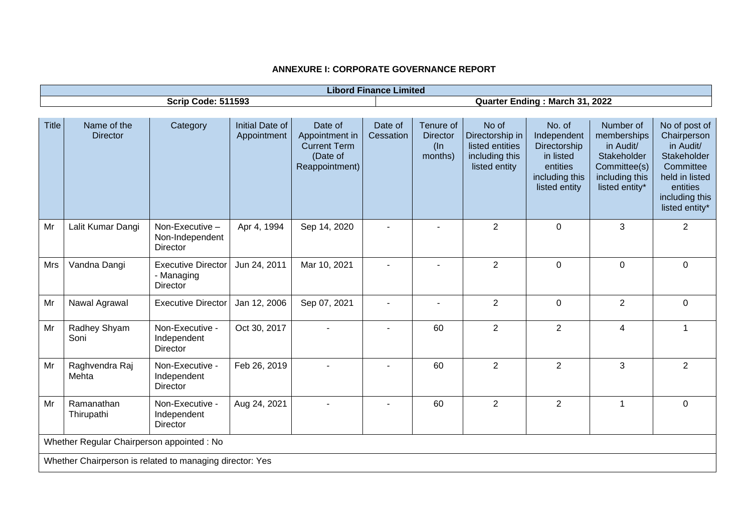# **ANNEXURE I: CORPORATE GOVERNANCE REPORT**

|              | <b>Libord Finance Limited</b>                            |                                                       |                                |                                                                                |                          |                                                   |                                                                                |                                                                                                   |                                                                                                          |                                                                                                                                         |
|--------------|----------------------------------------------------------|-------------------------------------------------------|--------------------------------|--------------------------------------------------------------------------------|--------------------------|---------------------------------------------------|--------------------------------------------------------------------------------|---------------------------------------------------------------------------------------------------|----------------------------------------------------------------------------------------------------------|-----------------------------------------------------------------------------------------------------------------------------------------|
|              |                                                          | <b>Scrip Code: 511593</b>                             |                                |                                                                                |                          |                                                   |                                                                                | Quarter Ending: March 31, 2022                                                                    |                                                                                                          |                                                                                                                                         |
|              |                                                          |                                                       |                                |                                                                                |                          |                                                   |                                                                                |                                                                                                   |                                                                                                          |                                                                                                                                         |
| <b>Title</b> | Name of the<br><b>Director</b>                           | Category                                              | Initial Date of<br>Appointment | Date of<br>Appointment in<br><b>Current Term</b><br>(Date of<br>Reappointment) | Date of<br>Cessation     | Tenure of<br><b>Director</b><br>$($ ln<br>months) | No of<br>Directorship in<br>listed entities<br>including this<br>listed entity | No. of<br>Independent<br>Directorship<br>in listed<br>entities<br>including this<br>listed entity | Number of<br>memberships<br>in Audit/<br>Stakeholder<br>Committee(s)<br>including this<br>listed entity* | No of post of<br>Chairperson<br>in Audit/<br>Stakeholder<br>Committee<br>held in listed<br>entities<br>including this<br>listed entity* |
| Mr           | Lalit Kumar Dangi                                        | Non-Executive -<br>Non-Independent<br><b>Director</b> | Apr 4, 1994                    | Sep 14, 2020                                                                   |                          |                                                   | $\overline{2}$                                                                 | $\mathbf 0$                                                                                       | 3                                                                                                        | $\overline{2}$                                                                                                                          |
| Mrs          | Vandna Dangi                                             | <b>Executive Director</b><br>- Managing<br>Director   | Jun 24, 2011                   | Mar 10, 2021                                                                   |                          |                                                   | $\overline{2}$                                                                 | $\mathbf 0$                                                                                       | $\mathbf 0$                                                                                              | 0                                                                                                                                       |
| Mr           | Nawal Agrawal                                            | <b>Executive Director</b>                             | Jan 12, 2006                   | Sep 07, 2021                                                                   |                          |                                                   | $\overline{2}$                                                                 | $\mathbf 0$                                                                                       | $\overline{2}$                                                                                           | 0                                                                                                                                       |
| Mr           | Radhey Shyam<br>Soni                                     | Non-Executive -<br>Independent<br><b>Director</b>     | Oct 30, 2017                   |                                                                                |                          | 60                                                | $\overline{2}$                                                                 | $\overline{2}$                                                                                    | $\overline{4}$                                                                                           | 1                                                                                                                                       |
| Mr           | Raghvendra Raj<br>Mehta                                  | Non-Executive -<br>Independent<br>Director            | Feb 26, 2019                   |                                                                                | $\overline{\phantom{a}}$ | 60                                                | $\overline{2}$                                                                 | $\overline{2}$                                                                                    | 3                                                                                                        | $\overline{2}$                                                                                                                          |
| Mr           | Ramanathan<br>Thirupathi                                 | Non-Executive -<br>Independent<br>Director            | Aug 24, 2021                   |                                                                                |                          | 60                                                | $\overline{2}$                                                                 | $\overline{2}$                                                                                    | $\mathbf{1}$                                                                                             | $\mathbf 0$                                                                                                                             |
|              | Whether Regular Chairperson appointed : No               |                                                       |                                |                                                                                |                          |                                                   |                                                                                |                                                                                                   |                                                                                                          |                                                                                                                                         |
|              | Whether Chairperson is related to managing director: Yes |                                                       |                                |                                                                                |                          |                                                   |                                                                                |                                                                                                   |                                                                                                          |                                                                                                                                         |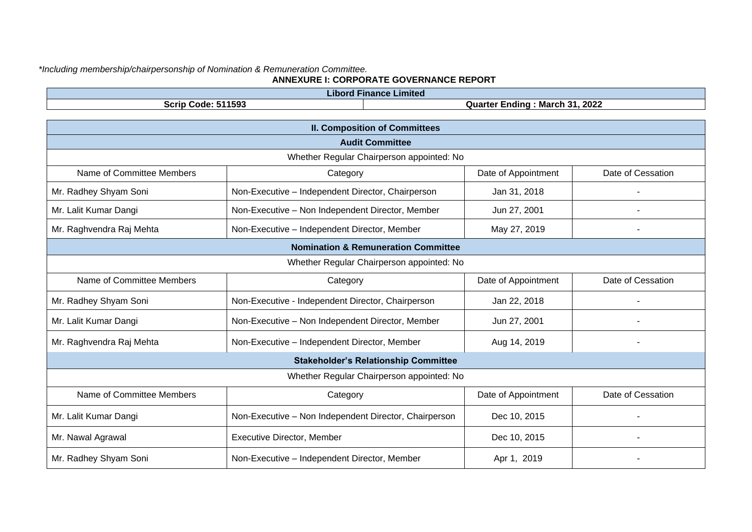### *\*Including membership/chairpersonship of Nomination & Remuneration Committee.* **ANNEXURE I: CORPORATE GOVERNANCE REPORT**

| <b>Libord Finance Limited</b> |                                                             |                     |                   |  |  |  |
|-------------------------------|-------------------------------------------------------------|---------------------|-------------------|--|--|--|
|                               | <b>Scrip Code: 511593</b><br>Quarter Ending: March 31, 2022 |                     |                   |  |  |  |
|                               |                                                             |                     |                   |  |  |  |
|                               | <b>II. Composition of Committees</b>                        |                     |                   |  |  |  |
|                               | <b>Audit Committee</b>                                      |                     |                   |  |  |  |
|                               | Whether Regular Chairperson appointed: No                   |                     |                   |  |  |  |
| Name of Committee Members     | Category                                                    | Date of Appointment | Date of Cessation |  |  |  |
| Mr. Radhey Shyam Soni         | Non-Executive - Independent Director, Chairperson           | Jan 31, 2018        |                   |  |  |  |
| Mr. Lalit Kumar Dangi         | Non-Executive - Non Independent Director, Member            | Jun 27, 2001        |                   |  |  |  |
| Mr. Raghvendra Raj Mehta      | Non-Executive - Independent Director, Member                | May 27, 2019        |                   |  |  |  |
|                               | <b>Nomination &amp; Remuneration Committee</b>              |                     |                   |  |  |  |
|                               | Whether Regular Chairperson appointed: No                   |                     |                   |  |  |  |
| Name of Committee Members     | Category                                                    | Date of Appointment | Date of Cessation |  |  |  |
| Mr. Radhey Shyam Soni         | Non-Executive - Independent Director, Chairperson           | Jan 22, 2018        |                   |  |  |  |
| Mr. Lalit Kumar Dangi         | Non-Executive - Non Independent Director, Member            | Jun 27, 2001        |                   |  |  |  |
| Mr. Raghvendra Raj Mehta      | Non-Executive - Independent Director, Member                | Aug 14, 2019        |                   |  |  |  |
|                               | <b>Stakeholder's Relationship Committee</b>                 |                     |                   |  |  |  |
|                               | Whether Regular Chairperson appointed: No                   |                     |                   |  |  |  |
| Name of Committee Members     | Category                                                    | Date of Appointment | Date of Cessation |  |  |  |
| Mr. Lalit Kumar Dangi         | Non-Executive - Non Independent Director, Chairperson       | Dec 10, 2015        |                   |  |  |  |
| Mr. Nawal Agrawal             | <b>Executive Director, Member</b>                           | Dec 10, 2015        |                   |  |  |  |
| Mr. Radhey Shyam Soni         | Non-Executive - Independent Director, Member                | Apr 1, 2019         |                   |  |  |  |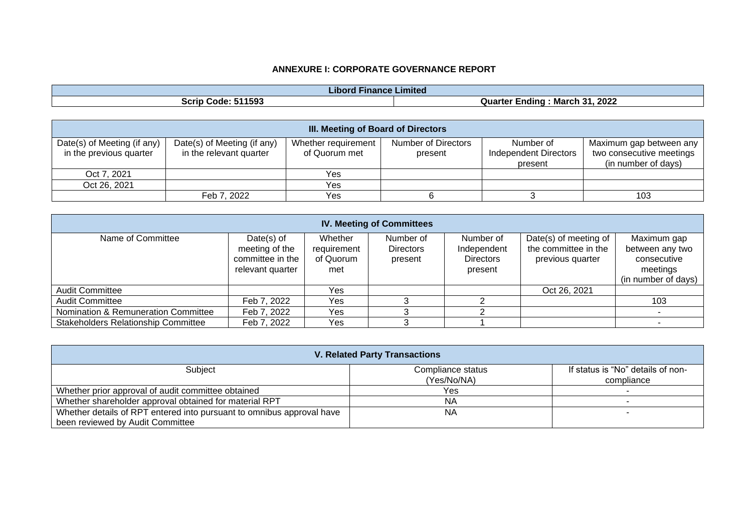# **ANNEXURE I: CORPORATE GOVERNANCE REPORT**

| .<br><b>Finance Limited</b><br>Libord |                                            |  |  |  |
|---------------------------------------|--------------------------------------------|--|--|--|
| 511593<br>SCrip<br>Code               | 2022<br>- 24<br>March<br>Quarter<br>-ndina |  |  |  |

|                                                        | <b>III. Meeting of Board of Directors</b>              |                                      |                                |                                                      |                                                                            |  |  |  |
|--------------------------------------------------------|--------------------------------------------------------|--------------------------------------|--------------------------------|------------------------------------------------------|----------------------------------------------------------------------------|--|--|--|
| Date(s) of Meeting (if any)<br>in the previous quarter | Date(s) of Meeting (if any)<br>in the relevant quarter | Whether requirement<br>of Quorum met | Number of Directors<br>present | Number of<br><b>Independent Directors</b><br>present | Maximum gap between any<br>two consecutive meetings<br>(in number of days) |  |  |  |
| Oct 7, 2021                                            |                                                        | Yes                                  |                                |                                                      |                                                                            |  |  |  |
| Oct 26, 2021                                           |                                                        | Yes                                  |                                |                                                      |                                                                            |  |  |  |
|                                                        | Feb 7, 2022                                            | Yes                                  |                                |                                                      | 103                                                                        |  |  |  |

| <b>IV. Meeting of Committees</b>           |                                                                         |                                            |                                          |                                                         |                                                                   |                                                                                  |
|--------------------------------------------|-------------------------------------------------------------------------|--------------------------------------------|------------------------------------------|---------------------------------------------------------|-------------------------------------------------------------------|----------------------------------------------------------------------------------|
| Name of Committee                          | Date $(s)$ of<br>meeting of the<br>committee in the<br>relevant quarter | Whether<br>requirement<br>of Quorum<br>met | Number of<br><b>Directors</b><br>present | Number of<br>Independent<br><b>Directors</b><br>present | Date(s) of meeting of<br>the committee in the<br>previous quarter | Maximum gap<br>between any two<br>consecutive<br>meetings<br>(in number of days) |
| <b>Audit Committee</b>                     |                                                                         | Yes                                        |                                          |                                                         | Oct 26, 2021                                                      |                                                                                  |
| <b>Audit Committee</b>                     | Feb 7, 2022                                                             | Yes                                        |                                          |                                                         |                                                                   | 103                                                                              |
| Nomination & Remuneration Committee        | Feb 7, 2022                                                             | Yes                                        |                                          |                                                         |                                                                   |                                                                                  |
| <b>Stakeholders Relationship Committee</b> | Feb 7, 2022                                                             | Yes                                        |                                          |                                                         |                                                                   |                                                                                  |

| <b>V. Related Party Transactions</b>                                  |                   |                                   |  |  |  |
|-----------------------------------------------------------------------|-------------------|-----------------------------------|--|--|--|
| Subject                                                               | Compliance status | If status is "No" details of non- |  |  |  |
|                                                                       | (Yes/No/NA)       | compliance                        |  |  |  |
| Whether prior approval of audit committee obtained                    | Yes.              |                                   |  |  |  |
| Whether shareholder approval obtained for material RPT                | <b>NA</b>         |                                   |  |  |  |
| Whether details of RPT entered into pursuant to omnibus approval have | ΝA                |                                   |  |  |  |
| been reviewed by Audit Committee                                      |                   |                                   |  |  |  |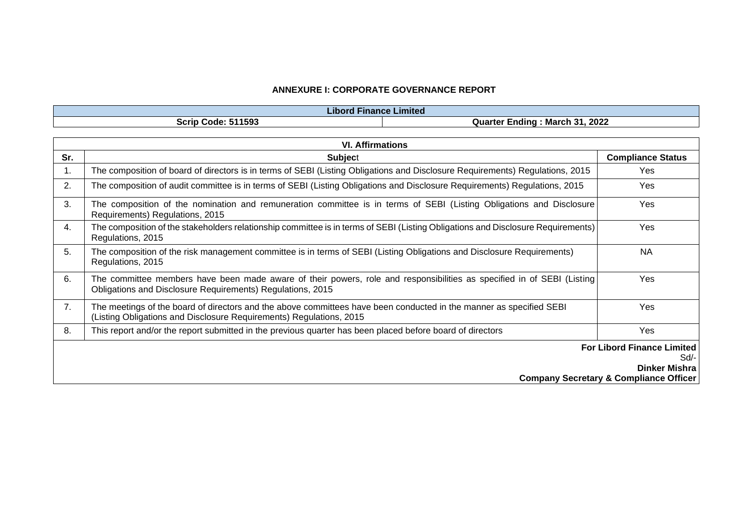### **ANNEXURE I: CORPORATE GOVERNANCE REPORT**

| .<br>Libord Finance Limited |                                                |  |  |  |
|-----------------------------|------------------------------------------------|--|--|--|
| <b>Scrip Code: 511593</b>   | , 2022<br>. 31<br>: March<br>Quarter<br>Ending |  |  |  |

|     | <b>VI. Affirmations</b>                                                                                                                                                                    |                          |  |  |  |
|-----|--------------------------------------------------------------------------------------------------------------------------------------------------------------------------------------------|--------------------------|--|--|--|
| Sr. | <b>Subject</b>                                                                                                                                                                             | <b>Compliance Status</b> |  |  |  |
| 1.  | The composition of board of directors is in terms of SEBI (Listing Obligations and Disclosure Requirements) Regulations, 2015                                                              | Yes                      |  |  |  |
| 2.  | The composition of audit committee is in terms of SEBI (Listing Obligations and Disclosure Requirements) Regulations, 2015                                                                 | Yes                      |  |  |  |
| 3.  | The composition of the nomination and remuneration committee is in terms of SEBI (Listing Obligations and Disclosure)<br>Requirements) Regulations, 2015                                   | Yes                      |  |  |  |
| 4.  | The composition of the stakeholders relationship committee is in terms of SEBI (Listing Obligations and Disclosure Requirements)<br>Regulations, 2015                                      | Yes                      |  |  |  |
| 5.  | The composition of the risk management committee is in terms of SEBI (Listing Obligations and Disclosure Requirements)<br>Regulations, 2015                                                | <b>NA</b>                |  |  |  |
| 6.  | The committee members have been made aware of their powers, role and responsibilities as specified in of SEBI (Listing)<br>Obligations and Disclosure Requirements) Regulations, 2015      | <b>Yes</b>               |  |  |  |
| 7.  | The meetings of the board of directors and the above committees have been conducted in the manner as specified SEBI<br>(Listing Obligations and Disclosure Requirements) Regulations, 2015 | Yes                      |  |  |  |
| 8.  | This report and/or the report submitted in the previous quarter has been placed before board of directors                                                                                  | Yes                      |  |  |  |
|     | <b>For Libord Finance Limited</b>                                                                                                                                                          |                          |  |  |  |
|     | Sd/-                                                                                                                                                                                       |                          |  |  |  |
|     | <b>Dinker Mishra</b>                                                                                                                                                                       |                          |  |  |  |
|     | <b>Company Secretary &amp; Compliance Officer</b>                                                                                                                                          |                          |  |  |  |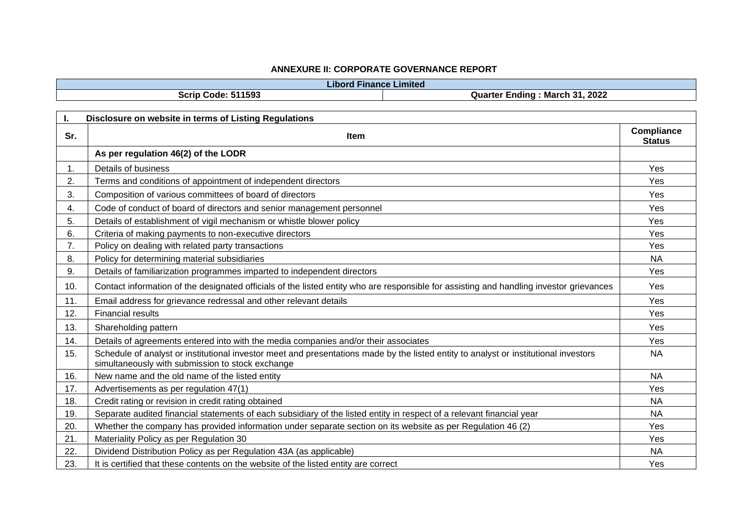### **ANNEXURE II: CORPORATE GOVERNANCE REPORT**

|     | <b>Libord Finance Limited</b>                                                                                                                                                            |                                    |
|-----|------------------------------------------------------------------------------------------------------------------------------------------------------------------------------------------|------------------------------------|
|     | Scrip Code: 511593<br>Quarter Ending: March 31, 2022                                                                                                                                     |                                    |
|     |                                                                                                                                                                                          |                                    |
| I.  | Disclosure on website in terms of Listing Regulations                                                                                                                                    |                                    |
| Sr. | <b>Item</b>                                                                                                                                                                              | <b>Compliance</b><br><b>Status</b> |
|     | As per regulation 46(2) of the LODR                                                                                                                                                      |                                    |
| 1.  | Details of business                                                                                                                                                                      | Yes                                |
| 2.  | Terms and conditions of appointment of independent directors                                                                                                                             | Yes                                |
| 3.  | Composition of various committees of board of directors                                                                                                                                  | Yes                                |
| 4.  | Code of conduct of board of directors and senior management personnel                                                                                                                    | Yes                                |
| 5.  | Details of establishment of vigil mechanism or whistle blower policy                                                                                                                     | Yes                                |
| 6.  | Criteria of making payments to non-executive directors                                                                                                                                   | Yes                                |
| 7.  | Policy on dealing with related party transactions                                                                                                                                        | Yes                                |
| 8.  | Policy for determining material subsidiaries                                                                                                                                             | <b>NA</b>                          |
| 9.  | Details of familiarization programmes imparted to independent directors                                                                                                                  | Yes                                |
| 10. | Contact information of the designated officials of the listed entity who are responsible for assisting and handling investor grievances                                                  | Yes                                |
| 11. | Email address for grievance redressal and other relevant details                                                                                                                         | Yes                                |
| 12. | <b>Financial results</b>                                                                                                                                                                 | Yes                                |
| 13. | Shareholding pattern                                                                                                                                                                     | Yes                                |
| 14. | Details of agreements entered into with the media companies and/or their associates                                                                                                      | Yes                                |
| 15. | Schedule of analyst or institutional investor meet and presentations made by the listed entity to analyst or institutional investors<br>simultaneously with submission to stock exchange | <b>NA</b>                          |
| 16. | New name and the old name of the listed entity                                                                                                                                           | <b>NA</b>                          |
| 17. | Advertisements as per regulation 47(1)                                                                                                                                                   | Yes                                |
| 18. | Credit rating or revision in credit rating obtained                                                                                                                                      | <b>NA</b>                          |
| 19. | Separate audited financial statements of each subsidiary of the listed entity in respect of a relevant financial year                                                                    | <b>NA</b>                          |
| 20. | Whether the company has provided information under separate section on its website as per Regulation 46 (2)                                                                              | Yes                                |
| 21. | Materiality Policy as per Regulation 30                                                                                                                                                  | Yes                                |
| 22. | Dividend Distribution Policy as per Regulation 43A (as applicable)                                                                                                                       | <b>NA</b>                          |
| 23. | It is certified that these contents on the website of the listed entity are correct                                                                                                      | Yes                                |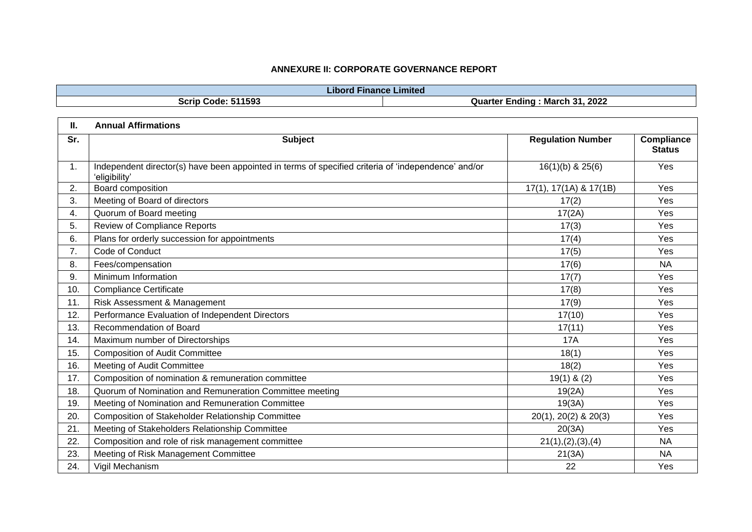# **ANNEXURE II: CORPORATE GOVERNANCE REPORT**

|     | <b>Libord Finance Limited</b>                                                                                        |                                |                                    |
|-----|----------------------------------------------------------------------------------------------------------------------|--------------------------------|------------------------------------|
|     | <b>Scrip Code: 511593</b>                                                                                            | Quarter Ending: March 31, 2022 |                                    |
| П.  | <b>Annual Affirmations</b>                                                                                           |                                |                                    |
| Sr. | <b>Subject</b>                                                                                                       | <b>Regulation Number</b>       | <b>Compliance</b><br><b>Status</b> |
| 1.  | Independent director(s) have been appointed in terms of specified criteria of 'independence' and/or<br>'eligibility' | $16(1)(b)$ & $25(6)$           | Yes                                |
| 2.  | Board composition                                                                                                    | 17(1), 17(1A) & 17(1B)         | Yes                                |
| 3.  | Meeting of Board of directors                                                                                        | 17(2)                          | Yes                                |
| 4.  | Quorum of Board meeting                                                                                              | 17(2A)                         | Yes                                |
| 5.  | <b>Review of Compliance Reports</b>                                                                                  | 17(3)                          | Yes                                |
| 6.  | Plans for orderly succession for appointments                                                                        | 17(4)                          | Yes                                |
| 7.  | Code of Conduct                                                                                                      | 17(5)                          | Yes                                |
| 8.  | Fees/compensation                                                                                                    | 17(6)                          | <b>NA</b>                          |
| 9.  | Minimum Information                                                                                                  | 17(7)                          | Yes                                |
| 10. | <b>Compliance Certificate</b>                                                                                        | 17(8)                          | Yes                                |
| 11. | Risk Assessment & Management                                                                                         | 17(9)                          | Yes                                |
| 12. | Performance Evaluation of Independent Directors                                                                      | 17(10)                         | Yes                                |
| 13. | Recommendation of Board                                                                                              | 17(11)                         | Yes                                |
| 14. | Maximum number of Directorships                                                                                      | 17A                            | Yes                                |
| 15. | <b>Composition of Audit Committee</b>                                                                                | 18(1)                          | Yes                                |
| 16. | Meeting of Audit Committee                                                                                           | 18(2)                          | Yes                                |
| 17. | Composition of nomination & remuneration committee                                                                   | $19(1)$ & (2)                  | Yes                                |
| 18. | Quorum of Nomination and Remuneration Committee meeting                                                              | 19(2A)                         | Yes                                |
| 19. | Meeting of Nomination and Remuneration Committee                                                                     | 19(3A)                         | Yes                                |
| 20. | <b>Composition of Stakeholder Relationship Committee</b>                                                             | 20(1), 20(2) & 20(3)           | Yes                                |
| 21. | Meeting of Stakeholders Relationship Committee                                                                       | 20(3A)                         | Yes                                |
| 22. | Composition and role of risk management committee                                                                    | 21(1), (2), (3), (4)           | <b>NA</b>                          |
| 23. | Meeting of Risk Management Committee                                                                                 | 21(3A)                         | <b>NA</b>                          |
| 24. | Vigil Mechanism                                                                                                      | 22                             | Yes                                |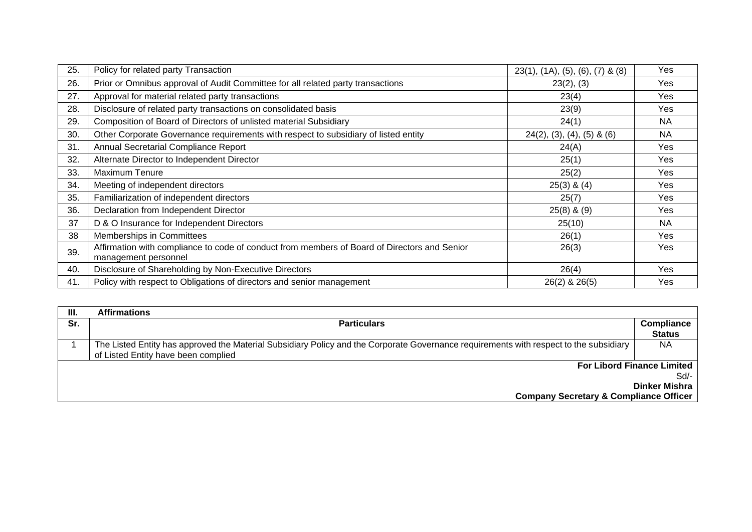| 25. | Policy for related party Transaction                                                                                 | $23(1)$ , $(1A)$ , $(5)$ , $(6)$ , $(7)$ & $(8)$ | Yes       |
|-----|----------------------------------------------------------------------------------------------------------------------|--------------------------------------------------|-----------|
| 26. | Prior or Omnibus approval of Audit Committee for all related party transactions                                      | 23(2), (3)                                       | Yes       |
| 27. | Approval for material related party transactions                                                                     | 23(4)                                            | Yes       |
| 28. | Disclosure of related party transactions on consolidated basis                                                       | 23(9)                                            | Yes       |
| 29. | Composition of Board of Directors of unlisted material Subsidiary                                                    | 24(1)                                            | NA        |
| 30. | Other Corporate Governance requirements with respect to subsidiary of listed entity                                  | $24(2)$ , (3), (4), (5) & (6)                    | <b>NA</b> |
| 31. | Annual Secretarial Compliance Report                                                                                 | 24(A)                                            | Yes       |
| 32. | Alternate Director to Independent Director                                                                           | 25(1)                                            | Yes       |
| 33. | Maximum Tenure                                                                                                       | 25(2)                                            | Yes       |
| 34. | Meeting of independent directors                                                                                     | $25(3)$ & $(4)$                                  | Yes       |
| 35. | Familiarization of independent directors                                                                             | 25(7)                                            | Yes       |
| 36. | Declaration from Independent Director                                                                                | $25(8)$ & $(9)$                                  | Yes       |
| 37  | D & O Insurance for Independent Directors                                                                            | 25(10)                                           | <b>NA</b> |
| 38  | Memberships in Committees                                                                                            | 26(1)                                            | Yes       |
| 39. | Affirmation with compliance to code of conduct from members of Board of Directors and Senior<br>management personnel | 26(3)                                            | Yes       |
| 40. | Disclosure of Shareholding by Non-Executive Directors                                                                | 26(4)                                            | Yes       |
| 41. | Policy with respect to Obligations of directors and senior management                                                | $26(2)$ & $26(5)$                                | Yes       |

| <b>Affirmations</b>                                                                                                                    |                                   |
|----------------------------------------------------------------------------------------------------------------------------------------|-----------------------------------|
| <b>Particulars</b>                                                                                                                     | <b>Compliance</b>                 |
|                                                                                                                                        | <b>Status</b>                     |
| The Listed Entity has approved the Material Subsidiary Policy and the Corporate Governance requirements with respect to the subsidiary | NA                                |
| of Listed Entity have been complied                                                                                                    |                                   |
|                                                                                                                                        | <b>For Libord Finance Limited</b> |
|                                                                                                                                        | Sd                                |
|                                                                                                                                        | Dinker Mishra                     |
| <b>Company Secretary &amp; Compliance Officer</b>                                                                                      |                                   |
|                                                                                                                                        |                                   |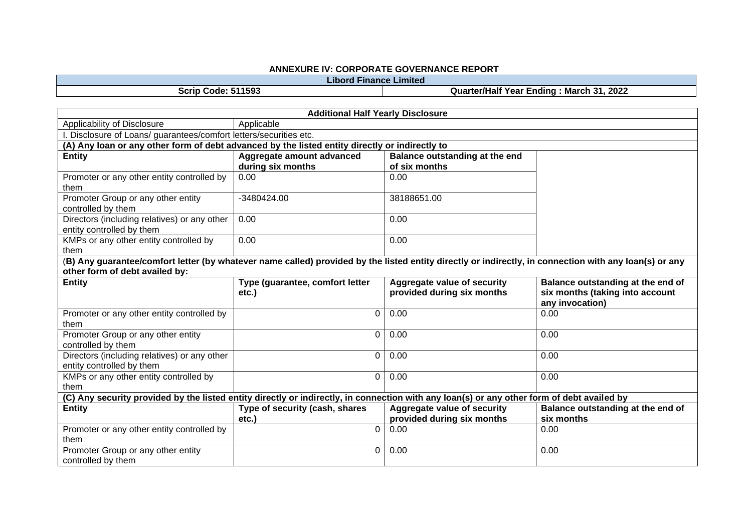#### **ANNEXURE IV: CORPORATE GOVERNANCE REPORT**

**Libord Finance Limited**

**Scrip Code: 511593 Quarter/Half Year Ending : March 31, 2022**

| <b>Additional Half Yearly Disclosure</b>                                                                                                                                                 |                                             |                                                           |                                                                                                |  |  |
|------------------------------------------------------------------------------------------------------------------------------------------------------------------------------------------|---------------------------------------------|-----------------------------------------------------------|------------------------------------------------------------------------------------------------|--|--|
| Applicability of Disclosure                                                                                                                                                              | Applicable                                  |                                                           |                                                                                                |  |  |
| I. Disclosure of Loans/ guarantees/comfort letters/securities etc.                                                                                                                       |                                             |                                                           |                                                                                                |  |  |
| (A) Any loan or any other form of debt advanced by the listed entity directly or indirectly to                                                                                           |                                             |                                                           |                                                                                                |  |  |
| <b>Entity</b>                                                                                                                                                                            | Aggregate amount advanced                   | Balance outstanding at the end                            |                                                                                                |  |  |
|                                                                                                                                                                                          | during six months                           | of six months                                             |                                                                                                |  |  |
| Promoter or any other entity controlled by<br>them                                                                                                                                       | 0.00                                        | 0.00                                                      |                                                                                                |  |  |
| Promoter Group or any other entity<br>controlled by them                                                                                                                                 | -3480424.00                                 | 38188651.00                                               |                                                                                                |  |  |
| Directors (including relatives) or any other<br>entity controlled by them                                                                                                                | 0.00                                        | 0.00                                                      |                                                                                                |  |  |
| KMPs or any other entity controlled by<br>them                                                                                                                                           | 0.00                                        | 0.00                                                      |                                                                                                |  |  |
| (B) Any guarantee/comfort letter (by whatever name called) provided by the listed entity directly or indirectly, in connection with any loan(s) or any<br>other form of debt availed by: |                                             |                                                           |                                                                                                |  |  |
| <b>Entity</b>                                                                                                                                                                            | Type (guarantee, comfort letter<br>$etc.$ ) | Aggregate value of security<br>provided during six months | <b>Balance outstanding at the end of</b><br>six months (taking into account<br>any invocation) |  |  |
| Promoter or any other entity controlled by<br>them                                                                                                                                       | $\mathbf 0$                                 | 0.00                                                      | 0.00                                                                                           |  |  |
| Promoter Group or any other entity<br>controlled by them                                                                                                                                 | $\Omega$                                    | 0.00                                                      | 0.00                                                                                           |  |  |
| Directors (including relatives) or any other<br>entity controlled by them                                                                                                                | $\mathbf 0$                                 | 0.00                                                      | 0.00                                                                                           |  |  |
| KMPs or any other entity controlled by<br>them                                                                                                                                           | $\overline{0}$                              | 0.00                                                      | 0.00                                                                                           |  |  |
| (C) Any security provided by the listed entity directly or indirectly, in connection with any loan(s) or any other form of debt availed by                                               |                                             |                                                           |                                                                                                |  |  |
| <b>Entity</b>                                                                                                                                                                            | Type of security (cash, shares<br>$etc.$ )  | Aggregate value of security<br>provided during six months | Balance outstanding at the end of<br>six months                                                |  |  |
| Promoter or any other entity controlled by<br>them                                                                                                                                       | $\mathbf 0$                                 | 0.00                                                      | 0.00                                                                                           |  |  |
| Promoter Group or any other entity<br>controlled by them                                                                                                                                 | 0                                           | 0.00                                                      | 0.00                                                                                           |  |  |